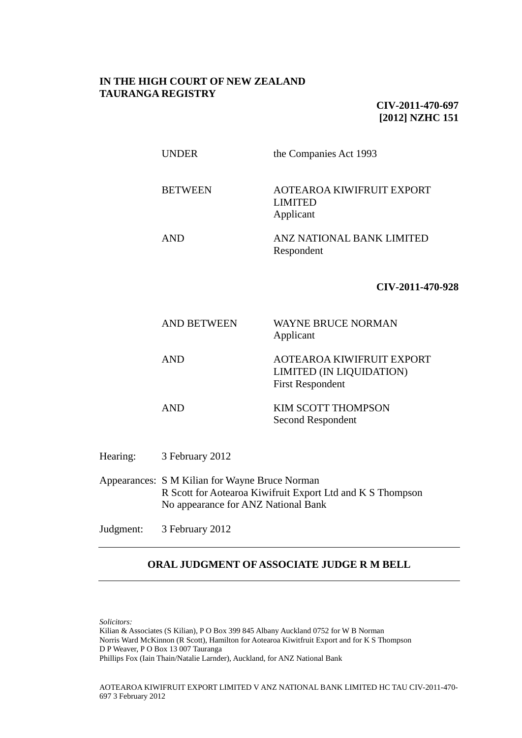## **IN THE HIGH COURT OF NEW ZEALAND TAURANGA REGISTRY**

**CIV-2011-470-697 [2012] NZHC 151**

|          | <b>UNDER</b>                                                                                                                                        | the Companies Act 1993                                                                  |
|----------|-----------------------------------------------------------------------------------------------------------------------------------------------------|-----------------------------------------------------------------------------------------|
|          | <b>BETWEEN</b>                                                                                                                                      | <b>AOTEAROA KIWIFRUIT EXPORT</b><br><b>LIMITED</b><br>Applicant                         |
|          | <b>AND</b>                                                                                                                                          | ANZ NATIONAL BANK LIMITED<br>Respondent                                                 |
|          |                                                                                                                                                     | CIV-2011-470-928                                                                        |
|          | <b>AND BETWEEN</b>                                                                                                                                  | <b>WAYNE BRUCE NORMAN</b><br>Applicant                                                  |
|          | <b>AND</b>                                                                                                                                          | <b>AOTEAROA KIWIFRUIT EXPORT</b><br>LIMITED (IN LIQUIDATION)<br><b>First Respondent</b> |
|          | <b>AND</b>                                                                                                                                          | KIM SCOTT THOMPSON<br>Second Respondent                                                 |
| Hearing: | 3 February 2012                                                                                                                                     |                                                                                         |
|          | Appearances: S M Kilian for Wayne Bruce Norman<br>R Scott for Aotearoa Kiwifruit Export Ltd and K S Thompson<br>No appearance for ANZ National Bank |                                                                                         |

Judgment: 3 February 2012

## **ORAL JUDGMENT OF ASSOCIATE JUDGE R M BELL**

*Solicitors:*

Kilian & Associates (S Kilian), P O Box 399 845 Albany Auckland 0752 for W B Norman Norris Ward McKinnon (R Scott), Hamilton for Aotearoa Kiwitfruit Export and for K S Thompson D P Weaver, P O Box 13 007 Tauranga Phillips Fox (Iain Thain/Natalie Larnder), Auckland, for ANZ National Bank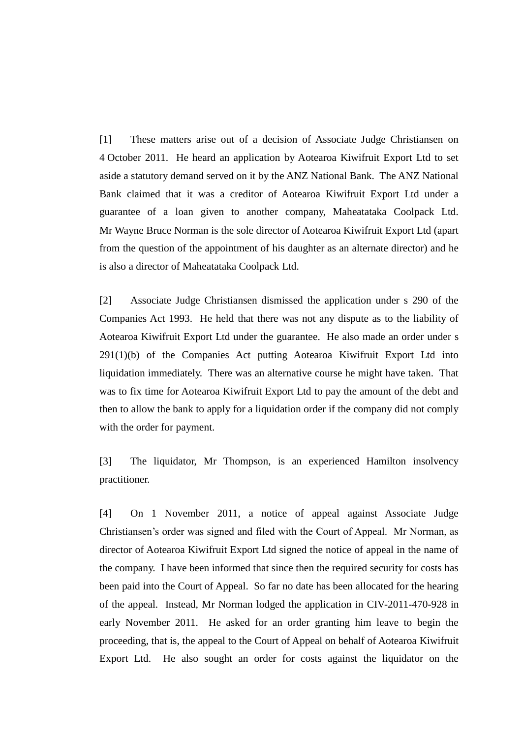[1] These matters arise out of a decision of Associate Judge Christiansen on 4 October 2011. He heard an application by Aotearoa Kiwifruit Export Ltd to set aside a statutory demand served on it by the ANZ National Bank. The ANZ National Bank claimed that it was a creditor of Aotearoa Kiwifruit Export Ltd under a guarantee of a loan given to another company, Maheatataka Coolpack Ltd. Mr Wayne Bruce Norman is the sole director of Aotearoa Kiwifruit Export Ltd (apart from the question of the appointment of his daughter as an alternate director) and he is also a director of Maheatataka Coolpack Ltd.

[2] Associate Judge Christiansen dismissed the application under s 290 of the Companies Act 1993. He held that there was not any dispute as to the liability of Aotearoa Kiwifruit Export Ltd under the guarantee. He also made an order under s 291(1)(b) of the Companies Act putting Aotearoa Kiwifruit Export Ltd into liquidation immediately. There was an alternative course he might have taken. That was to fix time for Aotearoa Kiwifruit Export Ltd to pay the amount of the debt and then to allow the bank to apply for a liquidation order if the company did not comply with the order for payment.

[3] The liquidator, Mr Thompson, is an experienced Hamilton insolvency practitioner.

[4] On 1 November 2011, a notice of appeal against Associate Judge Christiansen's order was signed and filed with the Court of Appeal. Mr Norman, as director of Aotearoa Kiwifruit Export Ltd signed the notice of appeal in the name of the company. I have been informed that since then the required security for costs has been paid into the Court of Appeal. So far no date has been allocated for the hearing of the appeal. Instead, Mr Norman lodged the application in CIV-2011-470-928 in early November 2011. He asked for an order granting him leave to begin the proceeding, that is, the appeal to the Court of Appeal on behalf of Aotearoa Kiwifruit Export Ltd. He also sought an order for costs against the liquidator on the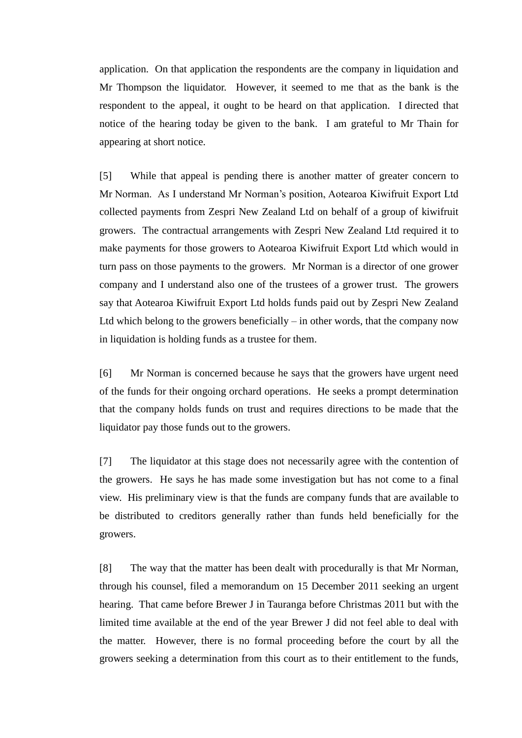application. On that application the respondents are the company in liquidation and Mr Thompson the liquidator. However, it seemed to me that as the bank is the respondent to the appeal, it ought to be heard on that application. I directed that notice of the hearing today be given to the bank. I am grateful to Mr Thain for appearing at short notice.

[5] While that appeal is pending there is another matter of greater concern to Mr Norman. As I understand Mr Norman's position, Aotearoa Kiwifruit Export Ltd collected payments from Zespri New Zealand Ltd on behalf of a group of kiwifruit growers. The contractual arrangements with Zespri New Zealand Ltd required it to make payments for those growers to Aotearoa Kiwifruit Export Ltd which would in turn pass on those payments to the growers. Mr Norman is a director of one grower company and I understand also one of the trustees of a grower trust. The growers say that Aotearoa Kiwifruit Export Ltd holds funds paid out by Zespri New Zealand Ltd which belong to the growers beneficially  $-$  in other words, that the company now in liquidation is holding funds as a trustee for them.

[6] Mr Norman is concerned because he says that the growers have urgent need of the funds for their ongoing orchard operations. He seeks a prompt determination that the company holds funds on trust and requires directions to be made that the liquidator pay those funds out to the growers.

[7] The liquidator at this stage does not necessarily agree with the contention of the growers. He says he has made some investigation but has not come to a final view. His preliminary view is that the funds are company funds that are available to be distributed to creditors generally rather than funds held beneficially for the growers.

[8] The way that the matter has been dealt with procedurally is that Mr Norman, through his counsel, filed a memorandum on 15 December 2011 seeking an urgent hearing. That came before Brewer J in Tauranga before Christmas 2011 but with the limited time available at the end of the year Brewer J did not feel able to deal with the matter. However, there is no formal proceeding before the court by all the growers seeking a determination from this court as to their entitlement to the funds,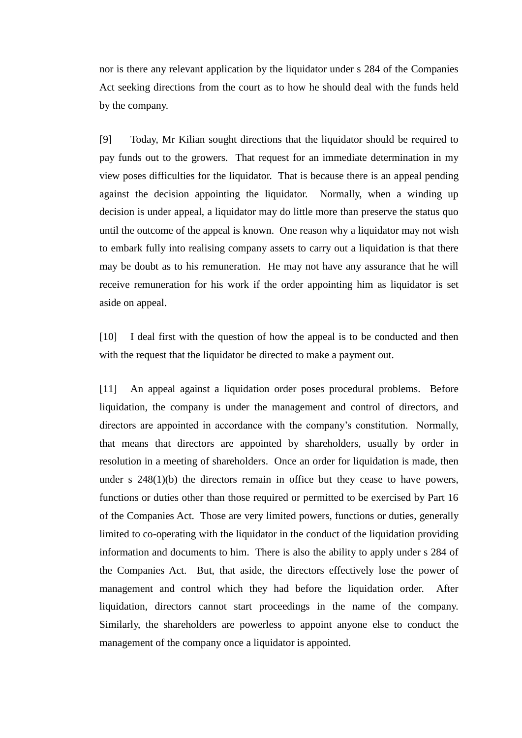nor is there any relevant application by the liquidator under s 284 of the Companies Act seeking directions from the court as to how he should deal with the funds held by the company.

[9] Today, Mr Kilian sought directions that the liquidator should be required to pay funds out to the growers. That request for an immediate determination in my view poses difficulties for the liquidator. That is because there is an appeal pending against the decision appointing the liquidator. Normally, when a winding up decision is under appeal, a liquidator may do little more than preserve the status quo until the outcome of the appeal is known. One reason why a liquidator may not wish to embark fully into realising company assets to carry out a liquidation is that there may be doubt as to his remuneration. He may not have any assurance that he will receive remuneration for his work if the order appointing him as liquidator is set aside on appeal.

[10] I deal first with the question of how the appeal is to be conducted and then with the request that the liquidator be directed to make a payment out.

[11] An appeal against a liquidation order poses procedural problems. Before liquidation, the company is under the management and control of directors, and directors are appointed in accordance with the company's constitution. Normally, that means that directors are appointed by shareholders, usually by order in resolution in a meeting of shareholders. Once an order for liquidation is made, then under s 248(1)(b) the directors remain in office but they cease to have powers, functions or duties other than those required or permitted to be exercised by Part 16 of the Companies Act. Those are very limited powers, functions or duties, generally limited to co-operating with the liquidator in the conduct of the liquidation providing information and documents to him. There is also the ability to apply under s 284 of the Companies Act. But, that aside, the directors effectively lose the power of management and control which they had before the liquidation order. After liquidation, directors cannot start proceedings in the name of the company. Similarly, the shareholders are powerless to appoint anyone else to conduct the management of the company once a liquidator is appointed.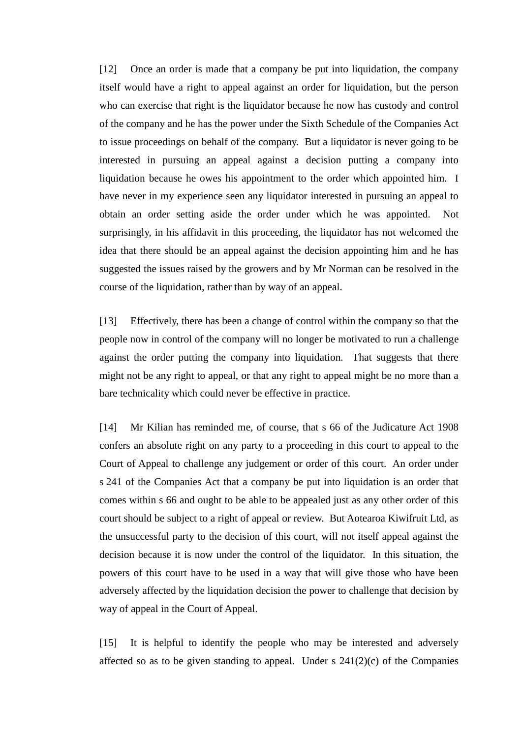[12] Once an order is made that a company be put into liquidation, the company itself would have a right to appeal against an order for liquidation, but the person who can exercise that right is the liquidator because he now has custody and control of the company and he has the power under the Sixth Schedule of the Companies Act to issue proceedings on behalf of the company. But a liquidator is never going to be interested in pursuing an appeal against a decision putting a company into liquidation because he owes his appointment to the order which appointed him. I have never in my experience seen any liquidator interested in pursuing an appeal to obtain an order setting aside the order under which he was appointed. Not surprisingly, in his affidavit in this proceeding, the liquidator has not welcomed the idea that there should be an appeal against the decision appointing him and he has suggested the issues raised by the growers and by Mr Norman can be resolved in the course of the liquidation, rather than by way of an appeal.

[13] Effectively, there has been a change of control within the company so that the people now in control of the company will no longer be motivated to run a challenge against the order putting the company into liquidation. That suggests that there might not be any right to appeal, or that any right to appeal might be no more than a bare technicality which could never be effective in practice.

[14] Mr Kilian has reminded me, of course, that s 66 of the Judicature Act 1908 confers an absolute right on any party to a proceeding in this court to appeal to the Court of Appeal to challenge any judgement or order of this court. An order under s 241 of the Companies Act that a company be put into liquidation is an order that comes within s 66 and ought to be able to be appealed just as any other order of this court should be subject to a right of appeal or review. But Aotearoa Kiwifruit Ltd, as the unsuccessful party to the decision of this court, will not itself appeal against the decision because it is now under the control of the liquidator. In this situation, the powers of this court have to be used in a way that will give those who have been adversely affected by the liquidation decision the power to challenge that decision by way of appeal in the Court of Appeal.

[15] It is helpful to identify the people who may be interested and adversely affected so as to be given standing to appeal. Under s  $241(2)(c)$  of the Companies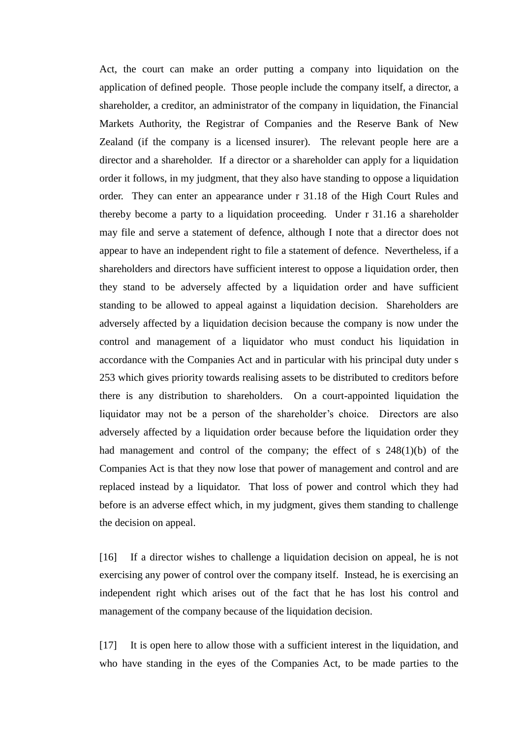Act, the court can make an order putting a company into liquidation on the application of defined people. Those people include the company itself, a director, a shareholder, a creditor, an administrator of the company in liquidation, the Financial Markets Authority, the Registrar of Companies and the Reserve Bank of New Zealand (if the company is a licensed insurer). The relevant people here are a director and a shareholder. If a director or a shareholder can apply for a liquidation order it follows, in my judgment, that they also have standing to oppose a liquidation order. They can enter an appearance under r 31.18 of the High Court Rules and thereby become a party to a liquidation proceeding. Under r 31.16 a shareholder may file and serve a statement of defence, although I note that a director does not appear to have an independent right to file a statement of defence. Nevertheless, if a shareholders and directors have sufficient interest to oppose a liquidation order, then they stand to be adversely affected by a liquidation order and have sufficient standing to be allowed to appeal against a liquidation decision. Shareholders are adversely affected by a liquidation decision because the company is now under the control and management of a liquidator who must conduct his liquidation in accordance with the Companies Act and in particular with his principal duty under s 253 which gives priority towards realising assets to be distributed to creditors before there is any distribution to shareholders. On a court-appointed liquidation the liquidator may not be a person of the shareholder's choice. Directors are also adversely affected by a liquidation order because before the liquidation order they had management and control of the company; the effect of s 248(1)(b) of the Companies Act is that they now lose that power of management and control and are replaced instead by a liquidator. That loss of power and control which they had before is an adverse effect which, in my judgment, gives them standing to challenge the decision on appeal.

[16] If a director wishes to challenge a liquidation decision on appeal, he is not exercising any power of control over the company itself. Instead, he is exercising an independent right which arises out of the fact that he has lost his control and management of the company because of the liquidation decision.

[17] It is open here to allow those with a sufficient interest in the liquidation, and who have standing in the eyes of the Companies Act, to be made parties to the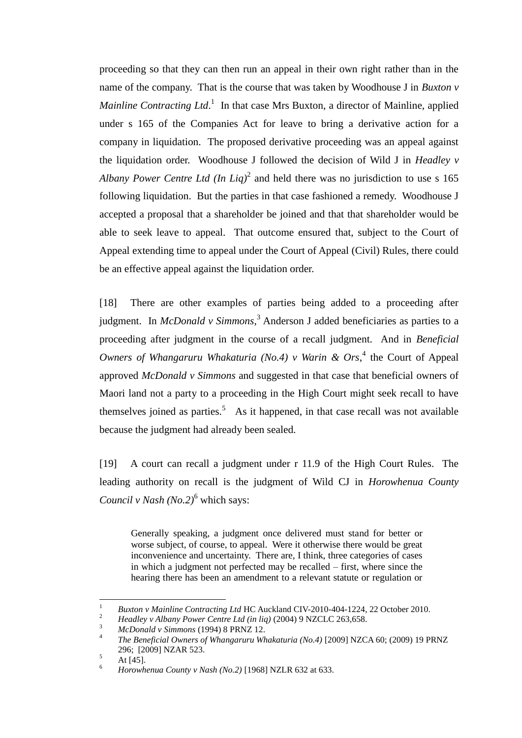proceeding so that they can then run an appeal in their own right rather than in the name of the company. That is the course that was taken by Woodhouse J in *Buxton v Mainline Contracting Ltd.*<sup>1</sup> In that case Mrs Buxton, a director of Mainline, applied under s 165 of the Companies Act for leave to bring a derivative action for a company in liquidation. The proposed derivative proceeding was an appeal against the liquidation order. Woodhouse J followed the decision of Wild J in *Headley v Albany Power Centre Ltd (In Liq)*<sup>2</sup> and held there was no jurisdiction to use s 165 following liquidation. But the parties in that case fashioned a remedy. Woodhouse J accepted a proposal that a shareholder be joined and that that shareholder would be able to seek leave to appeal. That outcome ensured that, subject to the Court of Appeal extending time to appeal under the Court of Appeal (Civil) Rules, there could be an effective appeal against the liquidation order.

[18] There are other examples of parties being added to a proceeding after judgment. In *McDonald v Simmons*, <sup>3</sup> Anderson J added beneficiaries as parties to a proceeding after judgment in the course of a recall judgment. And in *Beneficial Owners of Whangaruru Whakaturia (No.4) v Warin & Ors*, 4 the Court of Appeal approved *McDonald v Simmons* and suggested in that case that beneficial owners of Maori land not a party to a proceeding in the High Court might seek recall to have themselves joined as parties.<sup>5</sup> As it happened, in that case recall was not available because the judgment had already been sealed.

[19] A court can recall a judgment under r 11.9 of the High Court Rules. The leading authority on recall is the judgment of Wild CJ in *Horowhenua County Council v Nash (No.2)*<sup>6</sup> which says:

Generally speaking, a judgment once delivered must stand for better or worse subject, of course, to appeal. Were it otherwise there would be great inconvenience and uncertainty. There are, I think, three categories of cases in which a judgment not perfected may be recalled – first, where since the hearing there has been an amendment to a relevant statute or regulation or

 $\mathbf{1}$ <sup>1</sup> *Buxton v Mainline Contracting Ltd* HC Auckland CIV-2010-404-1224, 22 October 2010.

<sup>&</sup>lt;sup>2</sup> *Headley v Albany Power Centre Ltd (in liq)* (2004) 9 NZCLC 263,658.

<sup>3</sup> *McDonald v Simmons* (1994) 8 PRNZ 12.

<sup>4</sup> *The Beneficial Owners of Whangaruru Whakaturia (No.4)* [2009] NZCA 60; (2009) 19 PRNZ 296; [2009] NZAR 523.

 $5$  At [45].

<sup>6</sup> *Horowhenua County v Nash (No.2)* [1968] NZLR 632 at 633.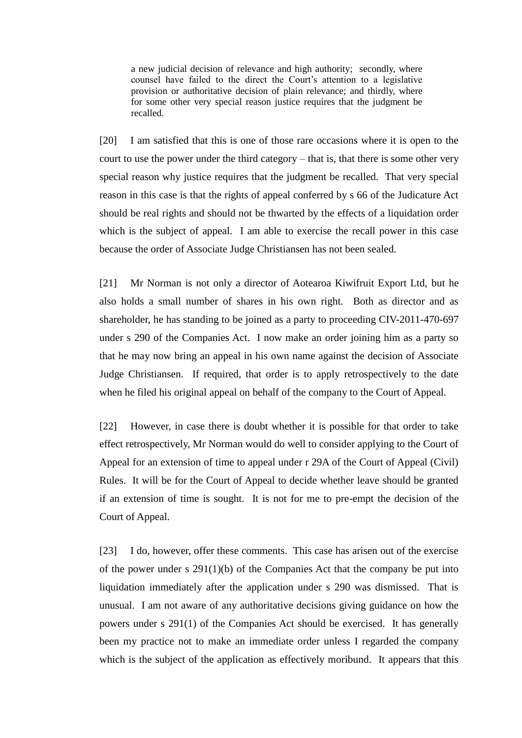a new judicial decision of relevance and high authority; secondly, where counsel have failed to the direct the Court's attention to a legislative provision or authoritative decision of plain relevance; and thirdly, where for some other very special reason justice requires that the judgment be recalled.

[20] I am satisfied that this is one of those rare occasions where it is open to the court to use the power under the third category – that is, that there is some other very special reason why justice requires that the judgment be recalled. That very special reason in this case is that the rights of appeal conferred by s 66 of the Judicature Act should be real rights and should not be thwarted by the effects of a liquidation order which is the subject of appeal. I am able to exercise the recall power in this case because the order of Associate Judge Christiansen has not been sealed.

[21] Mr Norman is not only a director of Aotearoa Kiwifruit Export Ltd, but he also holds a small number of shares in his own right. Both as director and as shareholder, he has standing to be joined as a party to proceeding CIV-2011-470-697 under s 290 of the Companies Act. I now make an order joining him as a party so that he may now bring an appeal in his own name against the decision of Associate Judge Christiansen. If required, that order is to apply retrospectively to the date when he filed his original appeal on behalf of the company to the Court of Appeal.

[22] However, in case there is doubt whether it is possible for that order to take effect retrospectively, Mr Norman would do well to consider applying to the Court of Appeal for an extension of time to appeal under r 29A of the Court of Appeal (Civil) Rules. It will be for the Court of Appeal to decide whether leave should be granted if an extension of time is sought. It is not for me to pre-empt the decision of the Court of Appeal.

[23] I do, however, offer these comments. This case has arisen out of the exercise of the power under s  $291(1)(b)$  of the Companies Act that the company be put into liquidation immediately after the application under s 290 was dismissed. That is unusual. I am not aware of any authoritative decisions giving guidance on how the powers under s 291(1) of the Companies Act should be exercised. It has generally been my practice not to make an immediate order unless I regarded the company which is the subject of the application as effectively moribund. It appears that this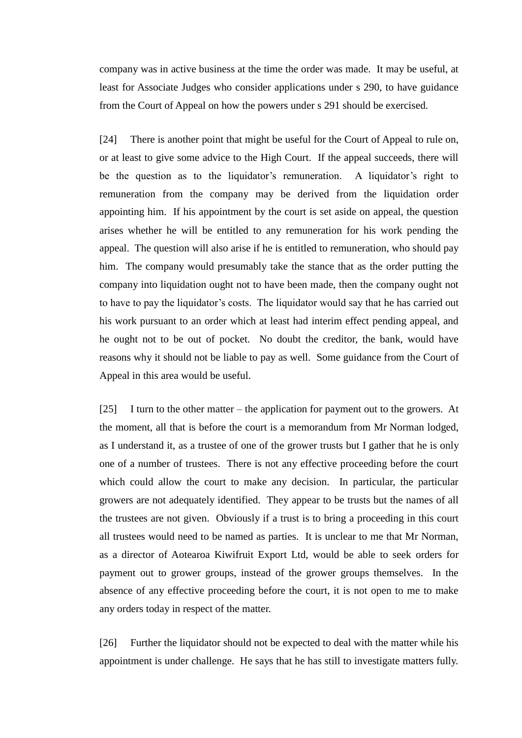company was in active business at the time the order was made. It may be useful, at least for Associate Judges who consider applications under s 290, to have guidance from the Court of Appeal on how the powers under s 291 should be exercised.

[24] There is another point that might be useful for the Court of Appeal to rule on, or at least to give some advice to the High Court. If the appeal succeeds, there will be the question as to the liquidator's remuneration. A liquidator's right to remuneration from the company may be derived from the liquidation order appointing him. If his appointment by the court is set aside on appeal, the question arises whether he will be entitled to any remuneration for his work pending the appeal. The question will also arise if he is entitled to remuneration, who should pay him. The company would presumably take the stance that as the order putting the company into liquidation ought not to have been made, then the company ought not to have to pay the liquidator's costs. The liquidator would say that he has carried out his work pursuant to an order which at least had interim effect pending appeal, and he ought not to be out of pocket. No doubt the creditor, the bank, would have reasons why it should not be liable to pay as well. Some guidance from the Court of Appeal in this area would be useful.

[25] I turn to the other matter – the application for payment out to the growers. At the moment, all that is before the court is a memorandum from Mr Norman lodged, as I understand it, as a trustee of one of the grower trusts but I gather that he is only one of a number of trustees. There is not any effective proceeding before the court which could allow the court to make any decision. In particular, the particular growers are not adequately identified. They appear to be trusts but the names of all the trustees are not given. Obviously if a trust is to bring a proceeding in this court all trustees would need to be named as parties. It is unclear to me that Mr Norman, as a director of Aotearoa Kiwifruit Export Ltd, would be able to seek orders for payment out to grower groups, instead of the grower groups themselves. In the absence of any effective proceeding before the court, it is not open to me to make any orders today in respect of the matter.

[26] Further the liquidator should not be expected to deal with the matter while his appointment is under challenge. He says that he has still to investigate matters fully.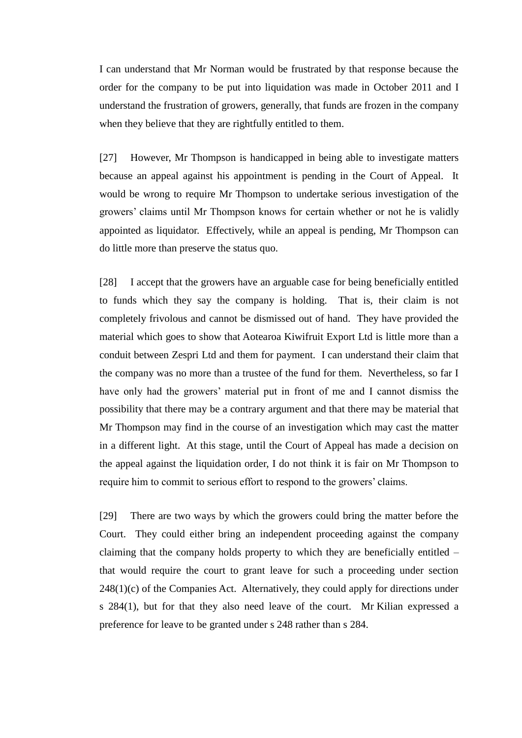I can understand that Mr Norman would be frustrated by that response because the order for the company to be put into liquidation was made in October 2011 and I understand the frustration of growers, generally, that funds are frozen in the company when they believe that they are rightfully entitled to them.

[27] However, Mr Thompson is handicapped in being able to investigate matters because an appeal against his appointment is pending in the Court of Appeal. It would be wrong to require Mr Thompson to undertake serious investigation of the growers' claims until Mr Thompson knows for certain whether or not he is validly appointed as liquidator. Effectively, while an appeal is pending, Mr Thompson can do little more than preserve the status quo.

[28] I accept that the growers have an arguable case for being beneficially entitled to funds which they say the company is holding. That is, their claim is not completely frivolous and cannot be dismissed out of hand. They have provided the material which goes to show that Aotearoa Kiwifruit Export Ltd is little more than a conduit between Zespri Ltd and them for payment. I can understand their claim that the company was no more than a trustee of the fund for them. Nevertheless, so far I have only had the growers' material put in front of me and I cannot dismiss the possibility that there may be a contrary argument and that there may be material that Mr Thompson may find in the course of an investigation which may cast the matter in a different light. At this stage, until the Court of Appeal has made a decision on the appeal against the liquidation order, I do not think it is fair on Mr Thompson to require him to commit to serious effort to respond to the growers' claims.

[29] There are two ways by which the growers could bring the matter before the Court. They could either bring an independent proceeding against the company claiming that the company holds property to which they are beneficially entitled – that would require the court to grant leave for such a proceeding under section  $248(1)(c)$  of the Companies Act. Alternatively, they could apply for directions under s 284(1), but for that they also need leave of the court. Mr Kilian expressed a preference for leave to be granted under s 248 rather than s 284.